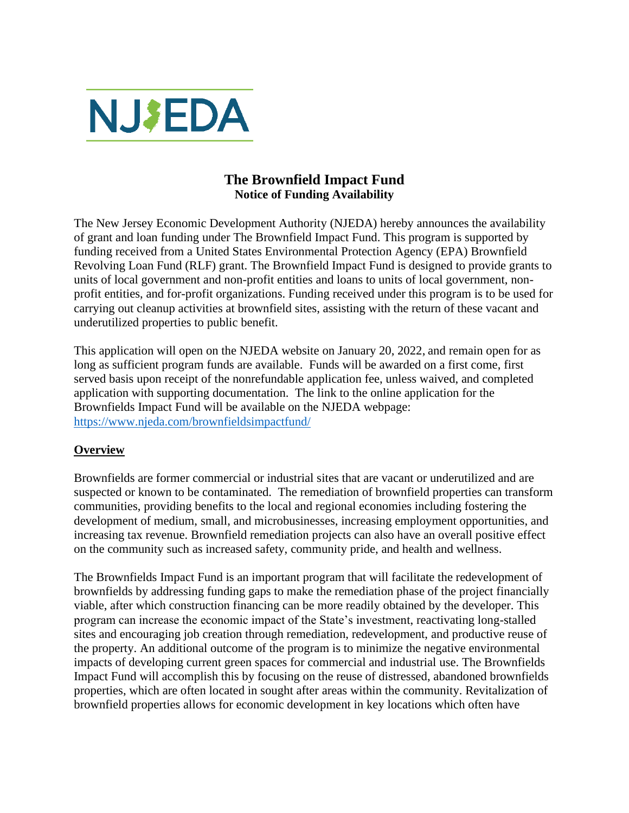

# **The Brownfield Impact Fund Notice of Funding Availability**

The New Jersey Economic Development Authority (NJEDA) hereby announces the availability of grant and loan funding under The Brownfield Impact Fund. This program is supported by funding received from a United States Environmental Protection Agency (EPA) Brownfield Revolving Loan Fund (RLF) grant. The Brownfield Impact Fund is designed to provide grants to units of local government and non-profit entities and loans to units of local government, nonprofit entities, and for-profit organizations. Funding received under this program is to be used for carrying out cleanup activities at brownfield sites, assisting with the return of these vacant and underutilized properties to public benefit.

This application will open on the NJEDA website on January 20, 2022, and remain open for as long as sufficient program funds are available. Funds will be awarded on a first come, first served basis upon receipt of the nonrefundable application fee, unless waived, and completed application with supporting documentation. The link to the online application for the Brownfields Impact Fund will be available on the NJEDA webpage: <https://www.njeda.com/brownfieldsimpactfund/>

## **Overview**

Brownfields are former commercial or industrial sites that are vacant or underutilized and are suspected or known to be contaminated. The remediation of brownfield properties can transform communities, providing benefits to the local and regional economies including fostering the development of medium, small, and microbusinesses, increasing employment opportunities, and increasing tax revenue. Brownfield remediation projects can also have an overall positive effect on the community such as increased safety, community pride, and health and wellness.

The Brownfields Impact Fund is an important program that will facilitate the redevelopment of brownfields by addressing funding gaps to make the remediation phase of the project financially viable, after which construction financing can be more readily obtained by the developer. This program can increase the economic impact of the State's investment, reactivating long-stalled sites and encouraging job creation through remediation, redevelopment, and productive reuse of the property. An additional outcome of the program is to minimize the negative environmental impacts of developing current green spaces for commercial and industrial use. The Brownfields Impact Fund will accomplish this by focusing on the reuse of distressed, abandoned brownfields properties, which are often located in sought after areas within the community. Revitalization of brownfield properties allows for economic development in key locations which often have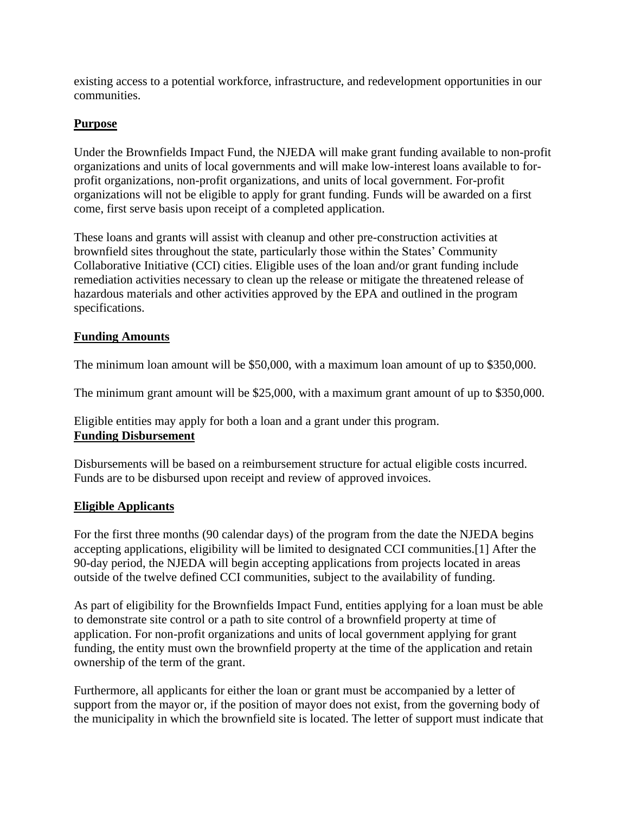existing access to a potential workforce, infrastructure, and redevelopment opportunities in our communities.

## **Purpose**

Under the Brownfields Impact Fund, the NJEDA will make grant funding available to non-profit organizations and units of local governments and will make low-interest loans available to forprofit organizations, non-profit organizations, and units of local government. For-profit organizations will not be eligible to apply for grant funding. Funds will be awarded on a first come, first serve basis upon receipt of a completed application.

These loans and grants will assist with cleanup and other pre-construction activities at brownfield sites throughout the state, particularly those within the States' Community Collaborative Initiative (CCI) cities. Eligible uses of the loan and/or grant funding include remediation activities necessary to clean up the release or mitigate the threatened release of hazardous materials and other activities approved by the EPA and outlined in the program specifications.

## **Funding Amounts**

The minimum loan amount will be \$50,000, with a maximum loan amount of up to \$350,000.

The minimum grant amount will be \$25,000, with a maximum grant amount of up to \$350,000.

Eligible entities may apply for both a loan and a grant under this program. **Funding Disbursement**

Disbursements will be based on a reimbursement structure for actual eligible costs incurred. Funds are to be disbursed upon receipt and review of approved invoices.

## **Eligible Applicants**

For the first three months (90 calendar days) of the program from the date the NJEDA begins accepting applications, eligibility will be limited to designated CCI communities.[1] After the 90-day period, the NJEDA will begin accepting applications from projects located in areas outside of the twelve defined CCI communities, subject to the availability of funding.

As part of eligibility for the Brownfields Impact Fund, entities applying for a loan must be able to demonstrate site control or a path to site control of a brownfield property at time of application. For non-profit organizations and units of local government applying for grant funding, the entity must own the brownfield property at the time of the application and retain ownership of the term of the grant.

Furthermore, all applicants for either the loan or grant must be accompanied by a letter of support from the mayor or, if the position of mayor does not exist, from the governing body of the municipality in which the brownfield site is located. The letter of support must indicate that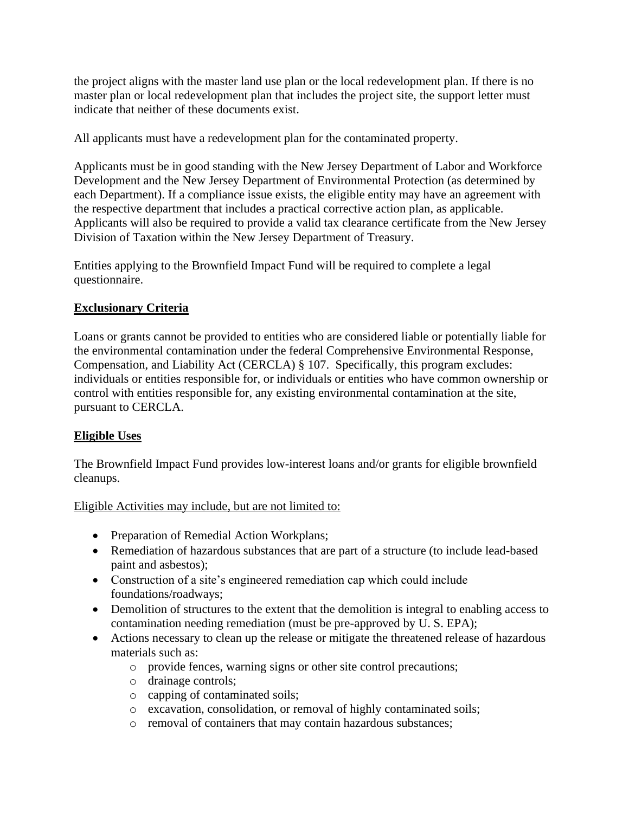the project aligns with the master land use plan or the local redevelopment plan. If there is no master plan or local redevelopment plan that includes the project site, the support letter must indicate that neither of these documents exist.

All applicants must have a redevelopment plan for the contaminated property.

Applicants must be in good standing with the New Jersey Department of Labor and Workforce Development and the New Jersey Department of Environmental Protection (as determined by each Department). If a compliance issue exists, the eligible entity may have an agreement with the respective department that includes a practical corrective action plan, as applicable. Applicants will also be required to provide a valid tax clearance certificate from the New Jersey Division of Taxation within the New Jersey Department of Treasury.

Entities applying to the Brownfield Impact Fund will be required to complete a legal questionnaire.

# **Exclusionary Criteria**

Loans or grants cannot be provided to entities who are considered liable or potentially liable for the environmental contamination under the federal Comprehensive Environmental Response, Compensation, and Liability Act (CERCLA) § 107. Specifically, this program excludes: individuals or entities responsible for, or individuals or entities who have common ownership or control with entities responsible for, any existing environmental contamination at the site, pursuant to CERCLA.

# **Eligible Uses**

The Brownfield Impact Fund provides low-interest loans and/or grants for eligible brownfield cleanups.

Eligible Activities may include, but are not limited to:

- Preparation of Remedial Action Workplans;
- Remediation of hazardous substances that are part of a structure (to include lead-based paint and asbestos);
- Construction of a site's engineered remediation cap which could include foundations/roadways;
- Demolition of structures to the extent that the demolition is integral to enabling access to contamination needing remediation (must be pre-approved by U. S. EPA);
- Actions necessary to clean up the release or mitigate the threatened release of hazardous materials such as:
	- o provide fences, warning signs or other site control precautions;
	- o drainage controls;
	- o capping of contaminated soils;
	- o excavation, consolidation, or removal of highly contaminated soils;
	- o removal of containers that may contain hazardous substances;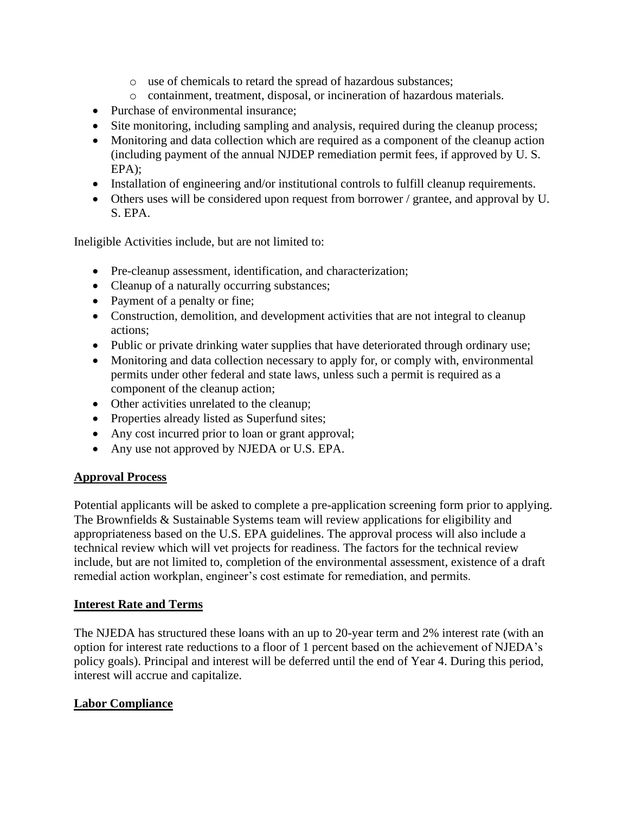- o use of chemicals to retard the spread of hazardous substances;
- o containment, treatment, disposal, or incineration of hazardous materials.
- Purchase of environmental insurance:
- Site monitoring, including sampling and analysis, required during the cleanup process;
- Monitoring and data collection which are required as a component of the cleanup action (including payment of the annual NJDEP remediation permit fees, if approved by U. S. EPA);
- Installation of engineering and/or institutional controls to fulfill cleanup requirements.
- Others uses will be considered upon request from borrower / grantee, and approval by U. S. EPA.

Ineligible Activities include, but are not limited to:

- Pre-cleanup assessment, identification, and characterization;
- Cleanup of a naturally occurring substances;
- Payment of a penalty or fine;
- Construction, demolition, and development activities that are not integral to cleanup actions;
- Public or private drinking water supplies that have deteriorated through ordinary use;
- Monitoring and data collection necessary to apply for, or comply with, environmental permits under other federal and state laws, unless such a permit is required as a component of the cleanup action;
- Other activities unrelated to the cleanup;
- Properties already listed as Superfund sites;
- Any cost incurred prior to loan or grant approval;
- Any use not approved by NJEDA or U.S. EPA.

### **Approval Process**

Potential applicants will be asked to complete a pre-application screening form prior to applying. The Brownfields & Sustainable Systems team will review applications for eligibility and appropriateness based on the U.S. EPA guidelines. The approval process will also include a technical review which will vet projects for readiness. The factors for the technical review include, but are not limited to, completion of the environmental assessment, existence of a draft remedial action workplan, engineer's cost estimate for remediation, and permits.

### **Interest Rate and Terms**

The NJEDA has structured these loans with an up to 20-year term and 2% interest rate (with an option for interest rate reductions to a floor of 1 percent based on the achievement of NJEDA's policy goals). Principal and interest will be deferred until the end of Year 4. During this period, interest will accrue and capitalize.

### **Labor Compliance**